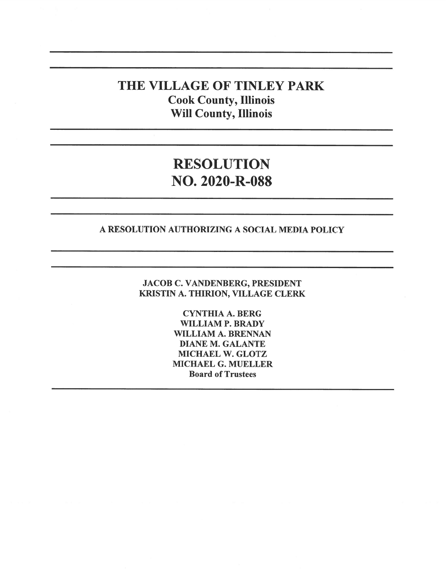### THE VILLAGE OF TINLEY PARK Cook County, Illinois Will County, Illinois

## RESOLUTION NO. 2020-R-088

#### A RESOLUTION AUTHORIZING A SOCIAL MEDIA POLICY

JACOB C. VANDENBERG, PRESIDENT KRISTIN A. THIRION, VILLAGE CLERK

> CYNTHIA A. BERG WILLIAM P. BRADY WILLIAM A. BRENNAN DIANE M. GALANTE MICHAEL W. GLOTZ MICHAEL G. MUELLER Board of Trustees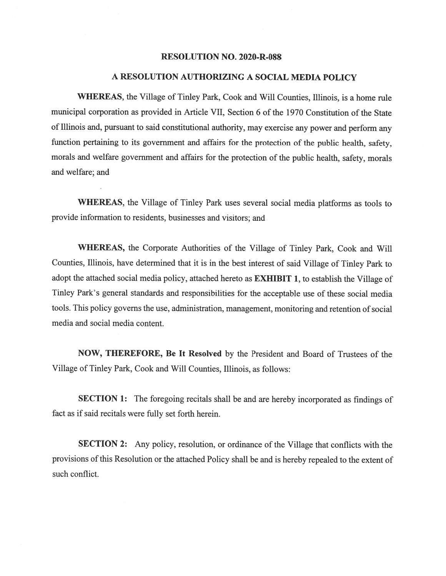#### RESOLUTION NO. 2020-R-088

#### A RESOLUTION AUTHORIZING A SOCIAL MEDIA POLICY

WHEREAS, the Village of Tinley Park, Cook and Will Counties, Illinois, is <sup>a</sup> home rule municipal corporation as provided in Article VII, Section 6 of the 1970 Constitution of the State of Illinois and, pursuan<sup>t</sup> to said constitutional authority, may exercise any power and perform any function pertaining to its governmen<sup>t</sup> and affairs for the protection of the public health, safety, morals and welfare governmen<sup>t</sup> and affairs for the protection of the public health, safety, morals and welfare; and

WHEREAS, the Village of Tinley Park uses several social media <sup>p</sup>latforms as tools to provide information to residents, businesses and visitors; and

WHEREAS, the Corporate Authorities of the Village of Tinley Park, Cook and Will Counties, Illinois, have determined that it is in the best interest of said Village of Tinley Park to adopt the attached social media policy, attached hereto as EXHIBIT 1, to establish the Village of Tinley Park's genera<sup>l</sup> standards and responsibilities for the acceptable use of these social media tools. This policy governs the use, administration, management, monitoring and retention of social media and social media content.

NOW, THEREFORE, Be It Resolved by the President and Board of Trustees of the Village of Tinley Park, Cook and Will Counties, Illinois, as follows:

SECTION 1: The foregoing recitals shall be and are hereby incorporated as findings of fact as if said recitals were fully set forth herein.

SECTION 2: Any policy, resolution, or ordinance of the Village that conflicts with the provisions ofthis Resolution or the attached Policy shall be and is hereby repealed to the extent of such conflict.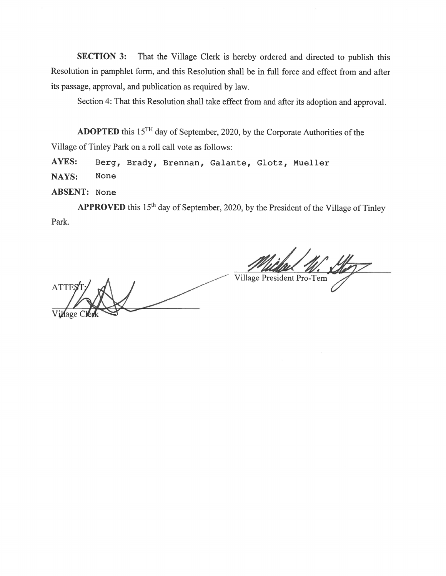SECTION 3: That the Village Clerk is hereby ordered and directed to publish this Resolution in pamphlet form, and this Resolution shall be in full force and effect from and after its passage, approval, and publication as required by law.

Section 4: That this Resolution shall take effect from and after its adoption and approval.

ADOPTED this  $15<sup>TH</sup>$  day of September, 2020, by the Corporate Authorities of the Village of Tinley Park on <sup>a</sup> roll call vote as follows:

AYES: Berg, Brady, Brennan, Galante, Glotz, Mueller NAYS: None

ABSENT: None

APPROVED this  $15<sup>th</sup>$  day of September, 2020, by the President of the Village of Tinley Park.

Village President Pro-Tern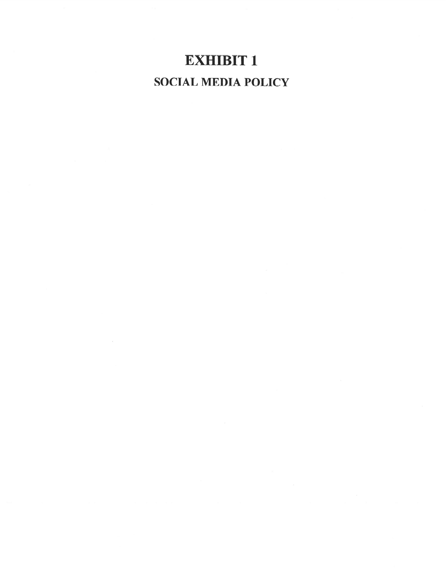# EXHIBIT 1 SOCIAL MEDIA POLICY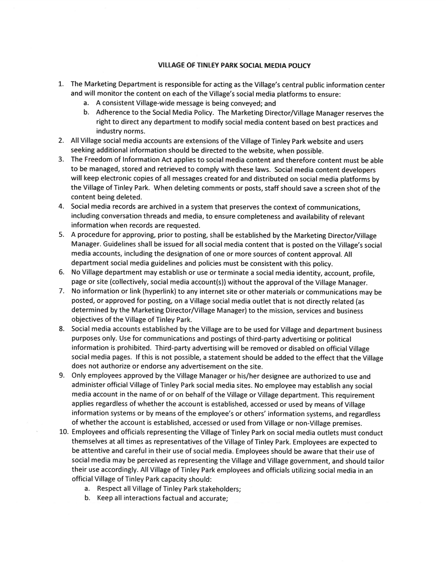#### VILLAGE OF TINLEY PARK SOCIAL MEDIA POLICY

- 1. The Marketing Department is responsible for acting as the Village's central public information center and will monitor the content on each of the Village's social media <sup>p</sup>latforms to ensure:
	- a. <sup>A</sup> consistent Village-wide message is being conveyed; and
	- b. Adherence to the Social Media Policy. The Marketing Director/Village Manager reserves the right to direct any department to modify social media content based on best practices and industry norms.
- 2. All Village social media accounts are extensions of the Village of Tinley Park website and users seeking additional information should be directed to the website, when possible.
- 3. The Freedom of Information Act applies to social media content and therefore content must be able to be managed, stored and retrieved to comply with these laws. Social media content developers will keep electronic copies of all messages created for and distributed on social media <sup>p</sup>latforms by the Village of Tinley Park. When deleting comments or posts, staff should save <sup>a</sup> screen shot of the content being deleted.
- 4. Social media records are archived in <sup>a</sup> system that preserves the context of communications, including conversation threads and media, to ensure completeness and availability of relevant information when records are requested.
- 5. <sup>A</sup> procedure for approving, prior to posting, shall be established by the Marketing Director/Village Manager. Guidelines shall be issued for all social media content that is posted on the Village's social media accounts, including the designation of one or more sources of content approval. All department social media guidelines and policies must be consistent with this policy.
- 6. No Village department may establish or use or terminate <sup>a</sup> social media identity, account, profile, page or site (collectively, social media account(s)) without the approva<sup>l</sup> of the Village Manager.
- 7. No information or link (hyperlink) to any internet site or other materials or communications may be posted, or approve<sup>d</sup> for posting, on <sup>a</sup> Village social media outlet that is not directly related (as determined by the Marketing Director/Village Manager) to the mission, services and business objectives of the Village of Tinley Park.
- 8. Social media accounts established by the Village are to be used for Village and department business purposes only. Use for communications and postings of third-party advertising or political information is prohibited. Third-party advertising will be removed or disabled on official Village social media pages. If this is not possible, a statement should be added to the effect that the Village does not authorize or endorse any advertisement on the site.
- 9. Only employees approve<sup>d</sup> by the Village Manager or his/her designee are authorized to use and administer official Village of Tinley Park social media sites. No employee may establish any social media account in the name of or on behalf of the Village or Village department. This requirement applies regardless of whether the account is established, accessed or used by means of Village information systems or by means of the employee's or others' information systems, and regardless of whether the account is established, accessed or used from Village or non-Village premises.
- 10. Employees and officials representing the Village of Tinley Park on social media outlets must conduct themselves at all times as representatives of the Village of Tinley Park. Employees are expected to be attentive and careful in their use of social media. Employees should be aware that their use of social media may be perceived as representing the Village and Village government, and should tailor their use accordingly. All Village of Tinley Park employees and officials utilizing social media in an official Village of Tinley Park capacity should:
	- a. Respect all Village of Tinley Park stakeholders;
	- b. Keep all interactions factual and accurate;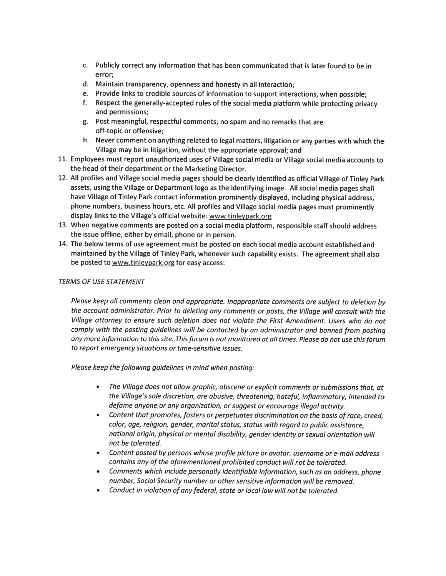- C. Publicly correct any information that has been communicated that is later found to be in error;
- d. Maintain transparency, openness and honesty in all interaction;
- e. Provide links to credible sources of information to suppor<sup>t</sup> interactions, when possible;
- f. Respect the generally-accepted rules of the social media <sup>p</sup>latform while protecting privacy and permissions;
- g. Post meaningful, respectful comments; no spam and no remarks that are off-topic or offensive;
- h. Never comment on anything related to legal matters, litigation or any parties with which the Village may be in litigation, without the appropriate approval; and
- 11. Employees must report unauthorized uses of Village social media or Village social media accounts to the head of their department or the Marketing Director.
- 12. All profiles and Village social media pages should be clearly identified as official Village of Tinley Park assets, using the Village or Department logo as the identifying image. All social media pages shall have Village of Tinley Park contact information prominently displayed, including physical address, <sup>p</sup>hone numbers, business hours, etc. All profiles and Village social media pages must prominently display links to the Village's official website: www.tinleypark.org.
- 13. When negative comments are posted on <sup>a</sup> social media <sup>p</sup>latform, responsible staff should address the issue offline, either by email, <sup>p</sup>hone or in person.
- 14. The below terms of use agreemen<sup>t</sup> must be posted on each social media account established and maintained by the Village of Tinley Park, whenever such capability exists. The agreemen<sup>t</sup> shall also be posted to www.tinleypark.org for easy access:

#### TERMS OF USE STATEMENT

Please keep all comments clean and appropriate. Inappropriate comments are subject to deletion by the account administrator. Prior to deleting any comments or posts, the Village will consult with the Village attorney to ensure such deletion does not violate the First Amendment. Users who do not comply with the posting guidelines will be contacted by an administrator and banned from posting any more information to this site. This forum is not monitored at all times. Please do not use this forum to repor<sup>t</sup> emergency situations or time-sensitive issues.

Please keep the following guidelines in mind when posting:

- The Village does not allow graphic, obscene or explicit comments or submissions that, at the Village's sole discretion, are abusive, threatening, hateful, inflammatory, intended to defame anyone or any organization, or sugges<sup>t</sup> or encourage illegal activity.
- . Content that promotes, fosters or perpetuates discrimination on the basis of race, creed color, age, religion, gender, marital status, status with regar<sup>d</sup> to public assistance, national origin, <sup>p</sup>hysical or mental disability, gender identity or sexual orientation will not be tolerated.
- Content posted by persons whose profile picture or avatar, username or e-mail address contains any of the aforementioned prohibited conduct will not be tolerated.
- • Comments which include personally identifiable information, such as an address, <sup>p</sup>hone number, Social Security number or other sensitive information will be removed.
- •Conduct in violation of anyfederal, state or local law will not be tolerated.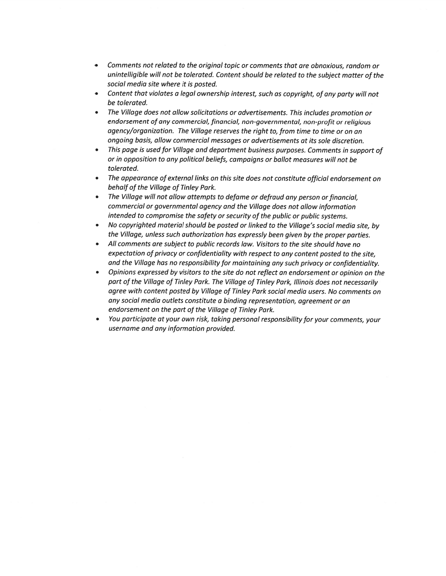- . Comments not related to the original topic or comments that are obnoxious, random or unintelligible will not be tolerated. Content should be related to the subject matter of the social media site where it is posted.
- Content that violates a legal ownership interest, such as copyright, of any party will not be tolerated.
- . The Village does not allow solicitations or advertisements. This includes promotion or endorsement of any commercial, financial, non-governmental, non-profit or religious agency/organization. The Village reserves the right to, from time to time or on an ongoing basis, allow commercial messages or advertisements at its sole discretion.
- This page is used for Village and department business purposes. Comments in support of or in opposition to any political beliefs, campaigns or ballot measures will not be tolerated.
- The appearance of external links on this site does not constitute official endorsement on behalf of the Village of Tinley Park.
- . The Village will not allow attempts to defame or defraud any person orfinancial, commercial or governmental agency and the Village does not allow information intended to compromise the safety or security of the public or public systems.
- . No copyrighted material should be posted or linked to the Village's social media site, by the Village, unless such authorization has expressly been <sup>g</sup>iven by the proper parties.
- . All comments are subject to public records law. Visitors to the site should have no expectation of privacy or confidentiality with respect to any content posted to the site. and the Village has no responsibility for maintaining any such privacy or confidentiality.
- • Opinions expresse<sup>d</sup> by visitors to the site do not reflect an endorsement or opinion on the par<sup>t</sup> of the Village of Tinley Park. The Village of Tinley Park, Illinois does not necessarily agree with content posted by Village of Tinley Park social media users. No comments on any social media outlets constitute <sup>a</sup> binding representation, agreemen<sup>t</sup> or an endorsement on the par<sup>t</sup> of the Village of Tinley Park.
- • You participate at your own risk, taking persona<sup>l</sup> responsibility for your comments, your username and any information provided.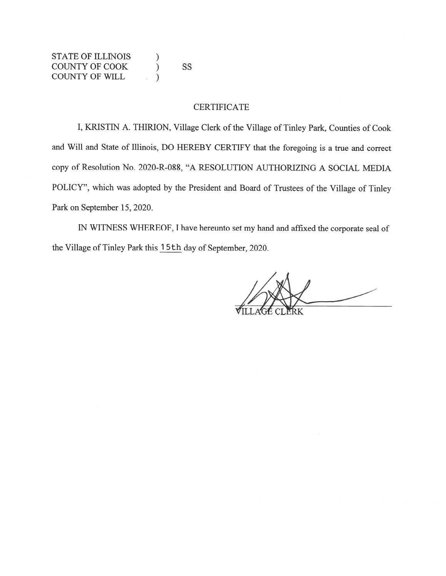STATE OF ILLINOIS ) COUNTYOFCOOK ) <sup>55</sup> COUNTY OF WILL )

#### CERTIFICATE

I, KRISTIN A. THIRION, Village Clerk of the Village of Tinley Park, Counties of Cook and Will and State of Illinois, DO HEREBY CERTIFY that the foregoing is <sup>a</sup> true and correct copy of Resolution No. 2020-R-088, "A RESOLUTION AUTHORIZING A SOCIAL MEDIA POLICY", which was adopted by the President and Board of Trustees of the Village of Tinley Park on September 15, 2020.

IN WITNESS WHEREOF, <sup>I</sup> have hereunto set my hand and affixed the corporate seal of the Village of Tinley Park this <sup>1</sup> 5th day of September, 2020.

ILLAGE CL